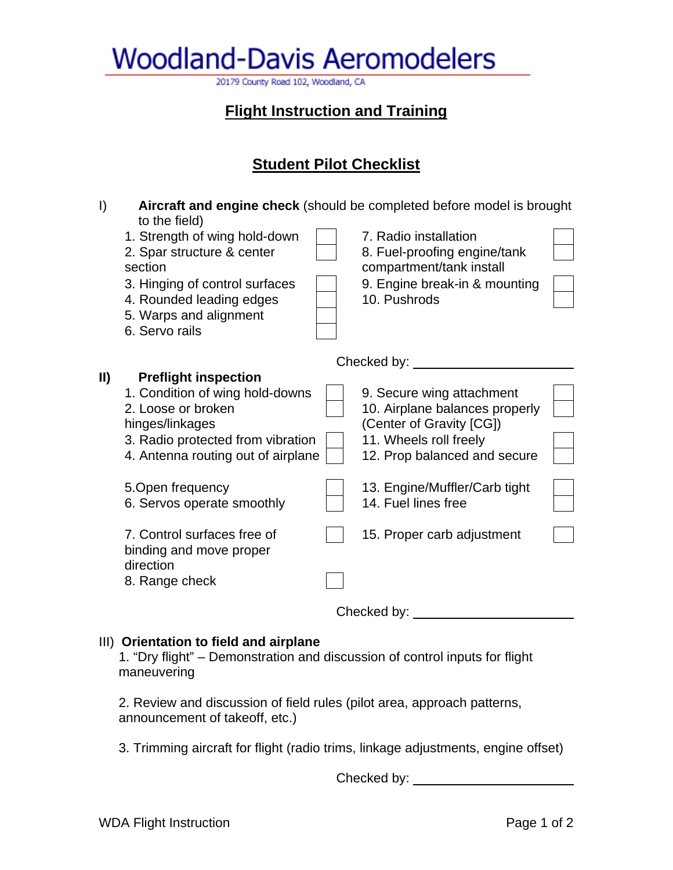**Woodland-Davis Aeromodelers** 

20179 County Road 102, Woodland, CA

## **Flight Instruction and Training**

## **Student Pilot Checklist**

| $\vert$       | Aircraft and engine check (should be completed before model is brought<br>to the field)                                                                                            |  |                                                                                                                                                   |  |
|---------------|------------------------------------------------------------------------------------------------------------------------------------------------------------------------------------|--|---------------------------------------------------------------------------------------------------------------------------------------------------|--|
|               | 1. Strength of wing hold-down<br>2. Spar structure & center<br>section<br>3. Hinging of control surfaces<br>4. Rounded leading edges<br>5. Warps and alignment<br>6. Servo rails   |  | 7. Radio installation<br>8. Fuel-proofing engine/tank<br>compartment/tank install<br>9. Engine break-in & mounting<br>10. Pushrods                |  |
|               |                                                                                                                                                                                    |  | Checked by: <u>comes</u>                                                                                                                          |  |
| $\mathbf{II}$ | <b>Preflight inspection</b><br>1. Condition of wing hold-downs<br>2. Loose or broken<br>hinges/linkages<br>3. Radio protected from vibration<br>4. Antenna routing out of airplane |  | 9. Secure wing attachment<br>10. Airplane balances properly<br>(Center of Gravity [CG])<br>11. Wheels roll freely<br>12. Prop balanced and secure |  |
|               | 5. Open frequency<br>6. Servos operate smoothly                                                                                                                                    |  | 13. Engine/Muffler/Carb tight<br>14. Fuel lines free                                                                                              |  |
|               | 7. Control surfaces free of<br>binding and move proper<br>direction<br>8. Range check                                                                                              |  | 15. Proper carb adjustment                                                                                                                        |  |
|               |                                                                                                                                                                                    |  | Checked by: _                                                                                                                                     |  |

#### III) **Orientation to field and airplane**

1. "Dry flight" – Demonstration and discussion of control inputs for flight maneuvering

2. Review and discussion of field rules (pilot area, approach patterns, announcement of takeoff, etc.)

3. Trimming aircraft for flight (radio trims, linkage adjustments, engine offset)

Checked by: